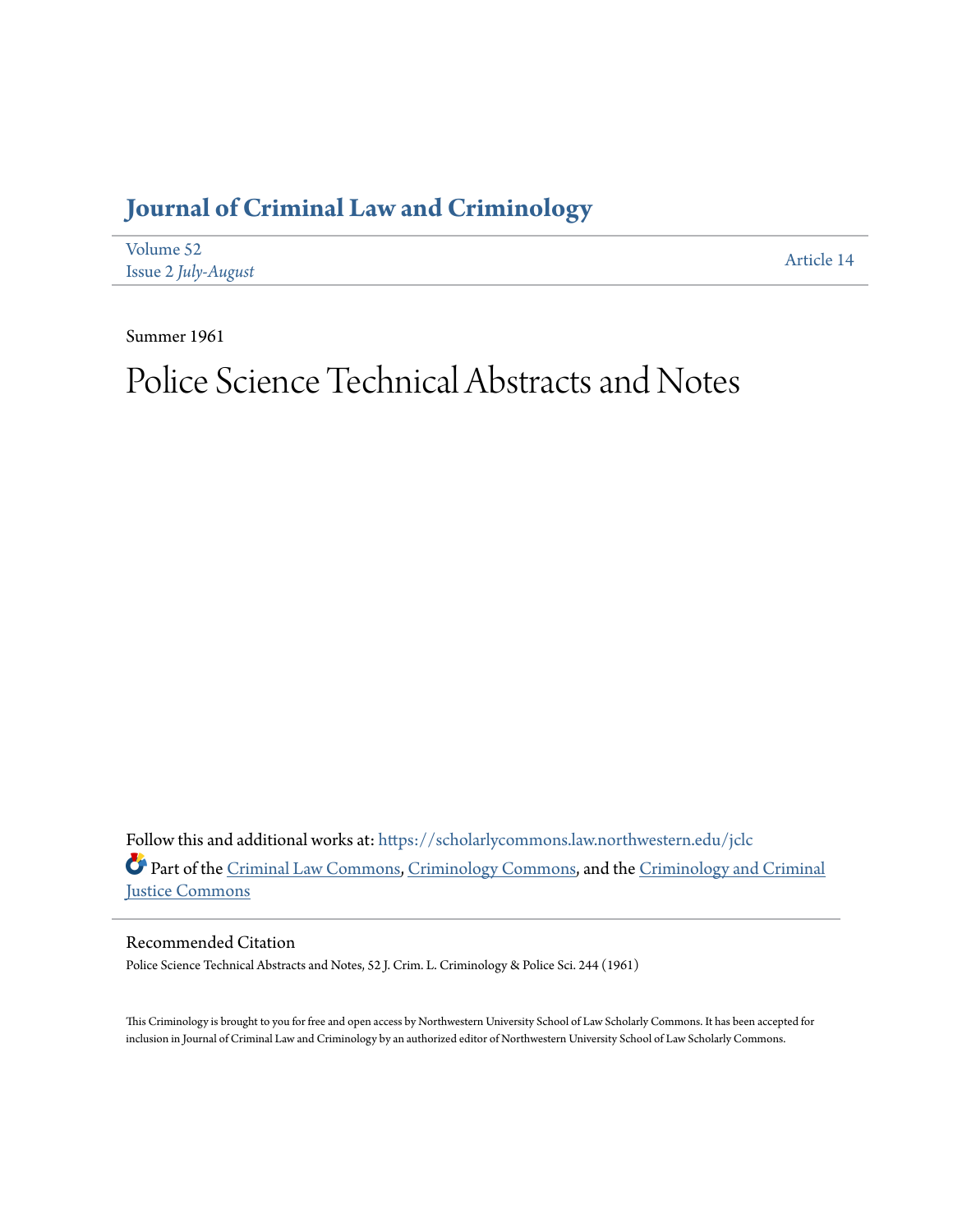## **[Journal of Criminal Law and Criminology](https://scholarlycommons.law.northwestern.edu/jclc?utm_source=scholarlycommons.law.northwestern.edu%2Fjclc%2Fvol52%2Fiss2%2F14&utm_medium=PDF&utm_campaign=PDFCoverPages)**

| Volume 52           | Article 14 |
|---------------------|------------|
| Issue 2 July-August |            |

Summer 1961

## Police Science Technical Abstracts and Notes

Follow this and additional works at: [https://scholarlycommons.law.northwestern.edu/jclc](https://scholarlycommons.law.northwestern.edu/jclc?utm_source=scholarlycommons.law.northwestern.edu%2Fjclc%2Fvol52%2Fiss2%2F14&utm_medium=PDF&utm_campaign=PDFCoverPages) Part of the [Criminal Law Commons](http://network.bepress.com/hgg/discipline/912?utm_source=scholarlycommons.law.northwestern.edu%2Fjclc%2Fvol52%2Fiss2%2F14&utm_medium=PDF&utm_campaign=PDFCoverPages), [Criminology Commons](http://network.bepress.com/hgg/discipline/417?utm_source=scholarlycommons.law.northwestern.edu%2Fjclc%2Fvol52%2Fiss2%2F14&utm_medium=PDF&utm_campaign=PDFCoverPages), and the [Criminology and Criminal](http://network.bepress.com/hgg/discipline/367?utm_source=scholarlycommons.law.northwestern.edu%2Fjclc%2Fvol52%2Fiss2%2F14&utm_medium=PDF&utm_campaign=PDFCoverPages) [Justice Commons](http://network.bepress.com/hgg/discipline/367?utm_source=scholarlycommons.law.northwestern.edu%2Fjclc%2Fvol52%2Fiss2%2F14&utm_medium=PDF&utm_campaign=PDFCoverPages)

Recommended Citation

Police Science Technical Abstracts and Notes, 52 J. Crim. L. Criminology & Police Sci. 244 (1961)

This Criminology is brought to you for free and open access by Northwestern University School of Law Scholarly Commons. It has been accepted for inclusion in Journal of Criminal Law and Criminology by an authorized editor of Northwestern University School of Law Scholarly Commons.